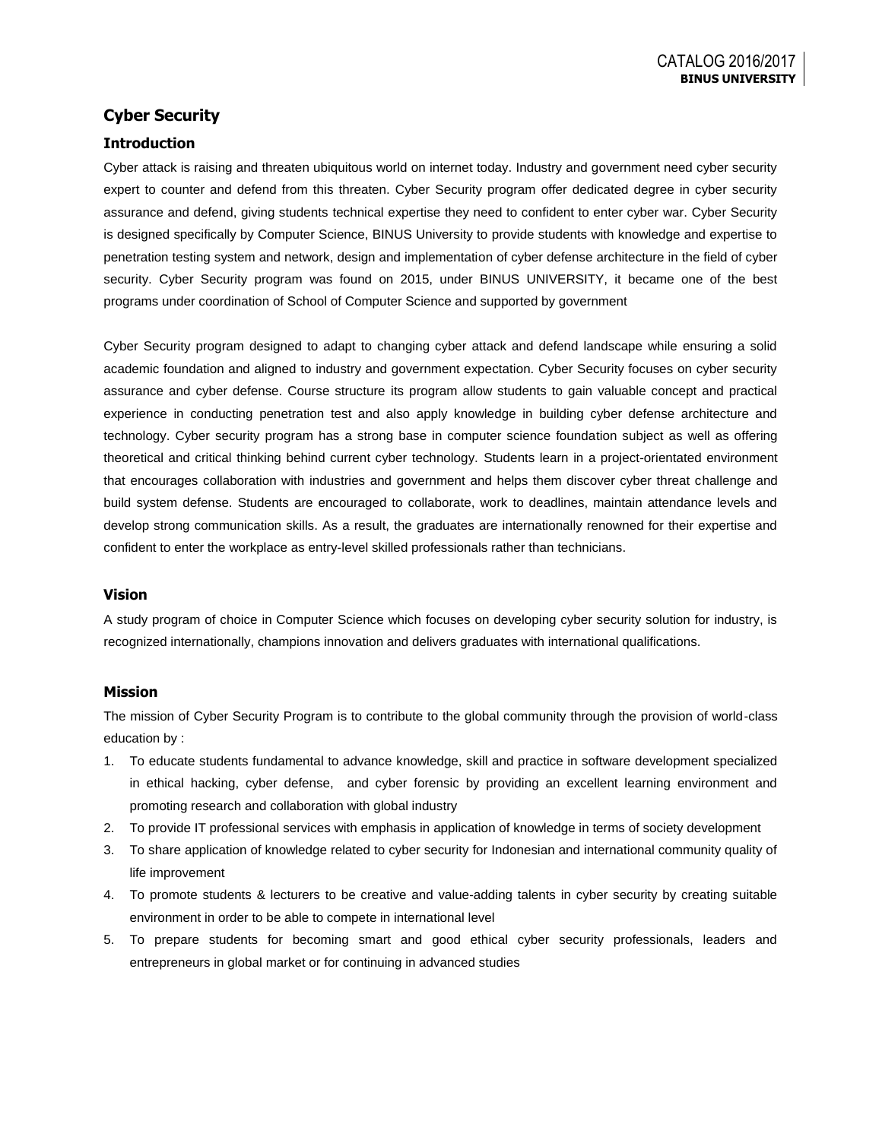## **Cyber Security**

### **Introduction**

Cyber attack is raising and threaten ubiquitous world on internet today. Industry and government need cyber security expert to counter and defend from this threaten. Cyber Security program offer dedicated degree in cyber security assurance and defend, giving students technical expertise they need to confident to enter cyber war. Cyber Security is designed specifically by Computer Science, BINUS University to provide students with knowledge and expertise to penetration testing system and network, design and implementation of cyber defense architecture in the field of cyber security. Cyber Security program was found on 2015, under BINUS UNIVERSITY, it became one of the best programs under coordination of School of Computer Science and supported by government

Cyber Security program designed to adapt to changing cyber attack and defend landscape while ensuring a solid academic foundation and aligned to industry and government expectation. Cyber Security focuses on cyber security assurance and cyber defense. Course structure its program allow students to gain valuable concept and practical experience in conducting penetration test and also apply knowledge in building cyber defense architecture and technology. Cyber security program has a strong base in computer science foundation subject as well as offering theoretical and critical thinking behind current cyber technology. Students learn in a project-orientated environment that encourages collaboration with industries and government and helps them discover cyber threat challenge and build system defense. Students are encouraged to collaborate, work to deadlines, maintain attendance levels and develop strong communication skills. As a result, the graduates are internationally renowned for their expertise and confident to enter the workplace as entry-level skilled professionals rather than technicians.

#### **Vision**

A study program of choice in Computer Science which focuses on developing cyber security solution for industry, is recognized internationally, champions innovation and delivers graduates with international qualifications.

### **Mission**

The mission of Cyber Security Program is to contribute to the global community through the provision of world-class education by :

- 1. To educate students fundamental to advance knowledge, skill and practice in software development specialized in ethical hacking, cyber defense, and cyber forensic by providing an excellent learning environment and promoting research and collaboration with global industry
- 2. To provide IT professional services with emphasis in application of knowledge in terms of society development
- 3. To share application of knowledge related to cyber security for Indonesian and international community quality of life improvement
- 4. To promote students & lecturers to be creative and value-adding talents in cyber security by creating suitable environment in order to be able to compete in international level
- 5. To prepare students for becoming smart and good ethical cyber security professionals, leaders and entrepreneurs in global market or for continuing in advanced studies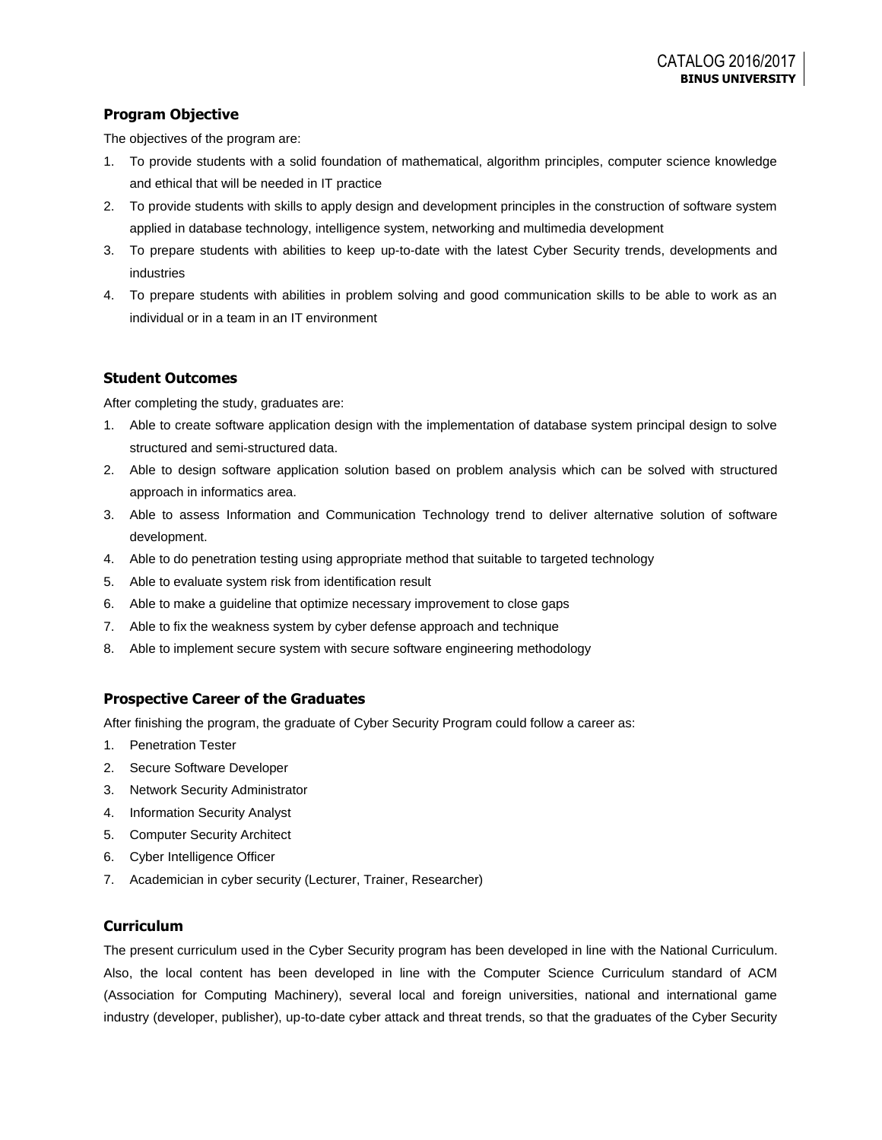## **Program Objective**

The objectives of the program are:

- 1. To provide students with a solid foundation of mathematical, algorithm principles, computer science knowledge and ethical that will be needed in IT practice
- 2. To provide students with skills to apply design and development principles in the construction of software system applied in database technology, intelligence system, networking and multimedia development
- 3. To prepare students with abilities to keep up-to-date with the latest Cyber Security trends, developments and industries
- 4. To prepare students with abilities in problem solving and good communication skills to be able to work as an individual or in a team in an IT environment

## **Student Outcomes**

After completing the study, graduates are:

- 1. Able to create software application design with the implementation of database system principal design to solve structured and semi-structured data.
- 2. Able to design software application solution based on problem analysis which can be solved with structured approach in informatics area.
- 3. Able to assess Information and Communication Technology trend to deliver alternative solution of software development.
- 4. Able to do penetration testing using appropriate method that suitable to targeted technology
- 5. Able to evaluate system risk from identification result
- 6. Able to make a guideline that optimize necessary improvement to close gaps
- 7. Able to fix the weakness system by cyber defense approach and technique
- 8. Able to implement secure system with secure software engineering methodology

### **Prospective Career of the Graduates**

After finishing the program, the graduate of Cyber Security Program could follow a career as:

- 1. Penetration Tester
- 2. Secure Software Developer
- 3. Network Security Administrator
- 4. Information Security Analyst
- 5. Computer Security Architect
- 6. Cyber Intelligence Officer
- 7. Academician in cyber security (Lecturer, Trainer, Researcher)

### **Curriculum**

The present curriculum used in the Cyber Security program has been developed in line with the National Curriculum. Also, the local content has been developed in line with the Computer Science Curriculum standard of ACM (Association for Computing Machinery), several local and foreign universities, national and international game industry (developer, publisher), up-to-date cyber attack and threat trends, so that the graduates of the Cyber Security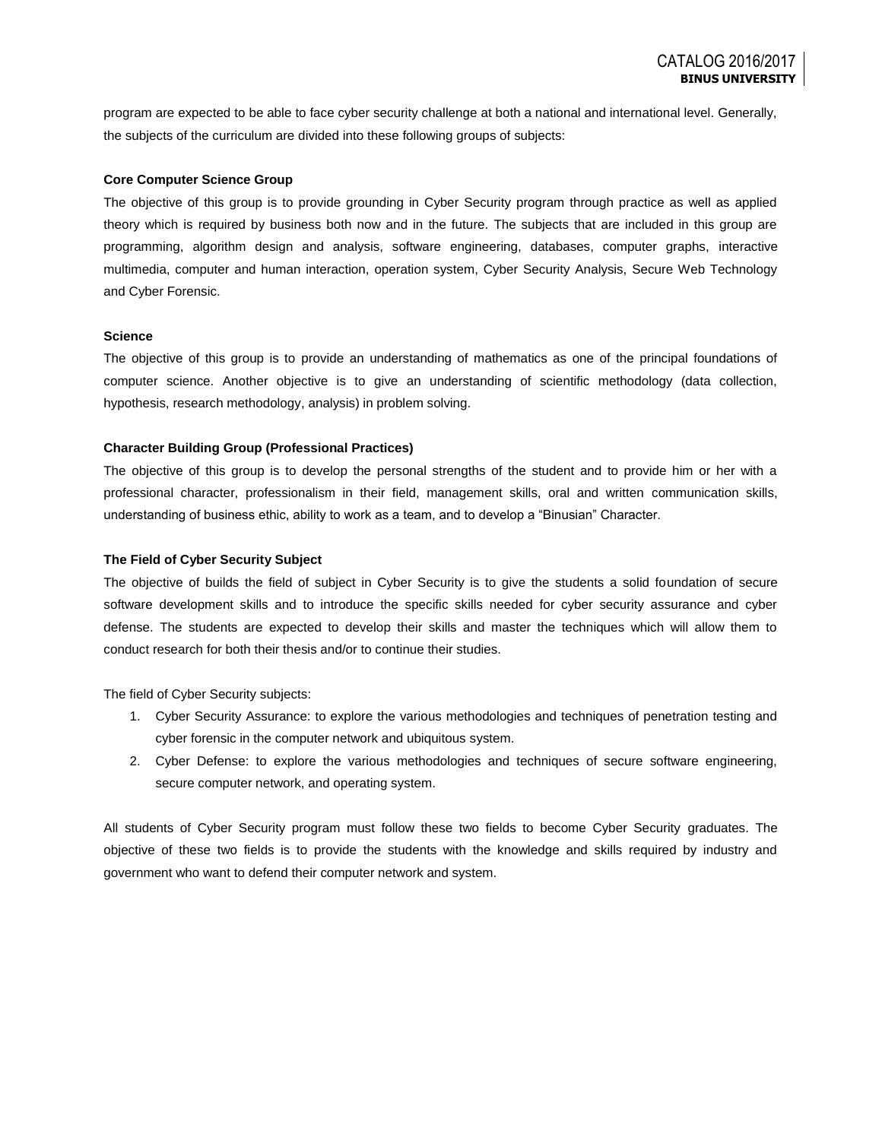program are expected to be able to face cyber security challenge at both a national and international level. Generally, the subjects of the curriculum are divided into these following groups of subjects:

#### **Core Computer Science Group**

The objective of this group is to provide grounding in Cyber Security program through practice as well as applied theory which is required by business both now and in the future. The subjects that are included in this group are programming, algorithm design and analysis, software engineering, databases, computer graphs, interactive multimedia, computer and human interaction, operation system, Cyber Security Analysis, Secure Web Technology and Cyber Forensic.

#### **Science**

The objective of this group is to provide an understanding of mathematics as one of the principal foundations of computer science. Another objective is to give an understanding of scientific methodology (data collection, hypothesis, research methodology, analysis) in problem solving.

#### **Character Building Group (Professional Practices)**

The objective of this group is to develop the personal strengths of the student and to provide him or her with a professional character, professionalism in their field, management skills, oral and written communication skills, understanding of business ethic, ability to work as a team, and to develop a "Binusian" Character.

#### **The Field of Cyber Security Subject**

The objective of builds the field of subject in Cyber Security is to give the students a solid foundation of secure software development skills and to introduce the specific skills needed for cyber security assurance and cyber defense. The students are expected to develop their skills and master the techniques which will allow them to conduct research for both their thesis and/or to continue their studies.

The field of Cyber Security subjects:

- 1. Cyber Security Assurance: to explore the various methodologies and techniques of penetration testing and cyber forensic in the computer network and ubiquitous system.
- 2. Cyber Defense: to explore the various methodologies and techniques of secure software engineering, secure computer network, and operating system.

All students of Cyber Security program must follow these two fields to become Cyber Security graduates. The objective of these two fields is to provide the students with the knowledge and skills required by industry and government who want to defend their computer network and system.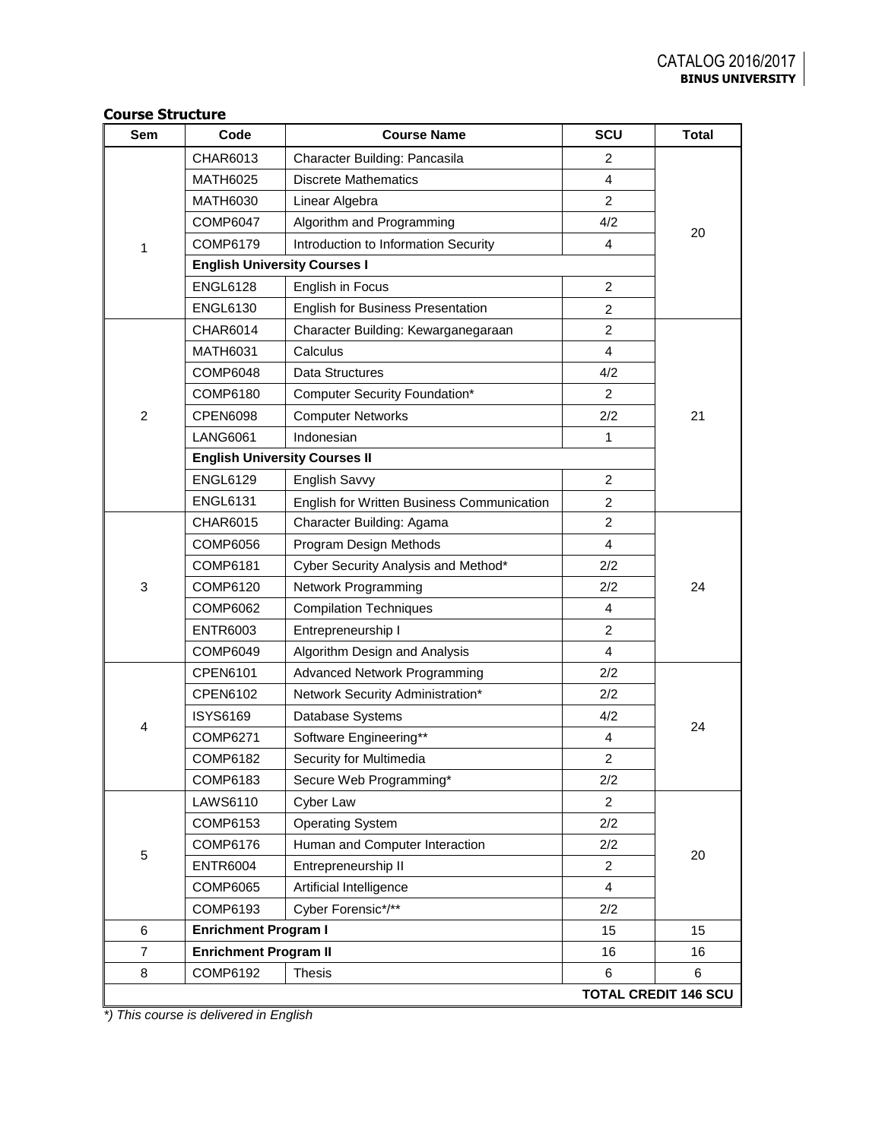| Sem            | Code                                 | <b>Course Name</b>                         | SCU            | <b>Total</b>                |
|----------------|--------------------------------------|--------------------------------------------|----------------|-----------------------------|
|                | CHAR6013                             | Character Building: Pancasila              | 2              |                             |
|                | <b>MATH6025</b>                      | <b>Discrete Mathematics</b>                | 4              |                             |
|                | <b>MATH6030</b>                      | Linear Algebra                             | $\overline{2}$ |                             |
|                | <b>COMP6047</b>                      | Algorithm and Programming                  | 4/2            |                             |
| 1              | COMP6179                             | Introduction to Information Security       | $\overline{4}$ | 20                          |
|                | <b>English University Courses I</b>  |                                            |                |                             |
|                | <b>ENGL6128</b>                      | English in Focus                           | $\overline{2}$ |                             |
|                | <b>ENGL6130</b>                      | English for Business Presentation          | $\overline{2}$ |                             |
|                | <b>CHAR6014</b>                      | Character Building: Kewarganegaraan        | $\overline{2}$ |                             |
|                | <b>MATH6031</b>                      | Calculus                                   | 4              |                             |
|                | <b>COMP6048</b>                      | Data Structures                            | 4/2            |                             |
|                | COMP6180                             | Computer Security Foundation*              | 2              |                             |
| $\overline{c}$ | <b>CPEN6098</b>                      | <b>Computer Networks</b>                   | 2/2            | 21                          |
|                | <b>LANG6061</b>                      | Indonesian                                 | 1              |                             |
|                | <b>English University Courses II</b> |                                            |                |                             |
|                | <b>ENGL6129</b>                      | English Savvy                              | 2              |                             |
|                | <b>ENGL6131</b>                      | English for Written Business Communication | $\overline{2}$ |                             |
|                | <b>CHAR6015</b>                      | Character Building: Agama                  | $\overline{2}$ |                             |
|                | <b>COMP6056</b>                      | Program Design Methods                     | 4              |                             |
|                | COMP6181                             | Cyber Security Analysis and Method*        | 2/2            |                             |
| 3              | COMP6120                             | Network Programming                        | 2/2            | 24                          |
|                | COMP6062                             | <b>Compilation Techniques</b>              | $\overline{4}$ |                             |
|                | <b>ENTR6003</b>                      | Entrepreneurship I                         | $\overline{2}$ |                             |
|                | COMP6049                             | Algorithm Design and Analysis              | 4              |                             |
|                | CPEN6101                             | Advanced Network Programming               | 2/2            |                             |
|                | CPEN6102                             | Network Security Administration*           | 2/2            |                             |
| 4              | <b>ISYS6169</b>                      | Database Systems                           | 4/2            | 24                          |
|                | COMP6271                             | Software Engineering**                     | 4              |                             |
|                | COMP6182                             | Security for Multimedia                    | $\overline{2}$ |                             |
|                | COMP6183                             | Secure Web Programming*                    | 2/2            |                             |
|                | LAWS6110                             | Cyber Law                                  | $\overline{2}$ |                             |
|                | COMP6153                             | <b>Operating System</b>                    | 2/2            |                             |
| 5              | COMP6176                             | Human and Computer Interaction             | 2/2            | 20                          |
|                | <b>ENTR6004</b>                      | Entrepreneurship II                        | $\overline{2}$ |                             |
|                | <b>COMP6065</b>                      | Artificial Intelligence                    | $\overline{4}$ |                             |
|                | COMP6193                             | Cyber Forensic*/**                         | 2/2            |                             |
| 6              | <b>Enrichment Program I</b>          |                                            | 15             | 15                          |
| $\overline{7}$ | <b>Enrichment Program II</b>         |                                            | 16             | 16                          |
| 8              | COMP6192                             | <b>Thesis</b>                              | 6              | 6                           |
|                |                                      |                                            |                | <b>TOTAL CREDIT 146 SCU</b> |

**Course Structure**

*\*) This course is delivered in English*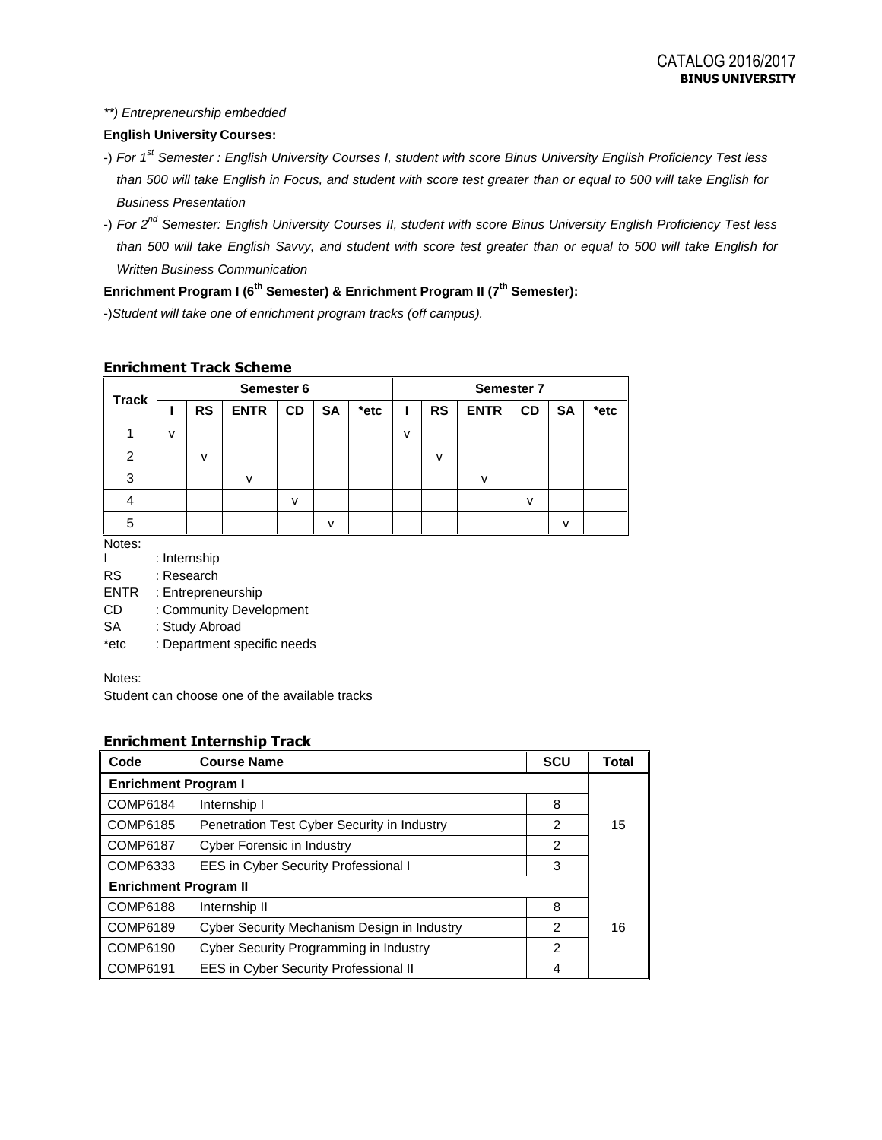### *\*\*) Entrepreneurship embedded*

## **English University Courses:**

- -) *For 1st Semester : English University Courses I, student with score Binus University English Proficiency Test less than 500 will take English in Focus, and student with score test greater than or equal to 500 will take English for Business Presentation*
- -) *For 2nd Semester: English University Courses II, student with score Binus University English Proficiency Test less than 500 will take English Savvy, and student with score test greater than or equal to 500 will take English for Written Business Communication*

# **Enrichment Program I (6th Semester) & Enrichment Program II (7th Semester):**

-)*Student will take one of enrichment program tracks (off campus).*

### **Enrichment Track Scheme**

| <b>Track</b> | Semester 6 |           |              |              | Semester 7 |      |   |           |              |           |           |      |
|--------------|------------|-----------|--------------|--------------|------------|------|---|-----------|--------------|-----------|-----------|------|
|              |            | <b>RS</b> | <b>ENTR</b>  | <b>CD</b>    | <b>SA</b>  | *etc |   | <b>RS</b> | <b>ENTR</b>  | <b>CD</b> | <b>SA</b> | *etc |
|              | v          |           |              |              |            |      | v |           |              |           |           |      |
| 2            |            | v         |              |              |            |      |   | v         |              |           |           |      |
| 3            |            |           | $\mathbf{v}$ |              |            |      |   |           | $\mathsf{v}$ |           |           |      |
|              |            |           |              | $\mathsf{V}$ |            |      |   |           |              | v         |           |      |
| 5            |            |           |              |              | v          |      |   |           |              |           | v         |      |

Notes:

- I : Internship
- RS : Research
- ENTR : Entrepreneurship
- CD : Community Development
- SA : Study Abroad
- \*etc : Department specific needs

Notes:

Student can choose one of the available tracks

## **Enrichment Internship Track**

| Code                         | <b>Course Name</b>                          | <b>SCU</b>     | <b>Total</b> |  |
|------------------------------|---------------------------------------------|----------------|--------------|--|
| <b>Enrichment Program I</b>  |                                             |                |              |  |
| <b>COMP6184</b>              | Internship I                                | 8              |              |  |
| COMP6185                     | Penetration Test Cyber Security in Industry | 2              | 15           |  |
| <b>COMP6187</b>              | <b>Cyber Forensic in Industry</b>           | $\mathfrak{p}$ |              |  |
| COMP6333                     | EES in Cyber Security Professional I        | 3              |              |  |
| <b>Enrichment Program II</b> |                                             |                |              |  |
| <b>COMP6188</b>              | Internship II                               | 8              |              |  |
| COMP6189                     | Cyber Security Mechanism Design in Industry | 2              | 16           |  |
| COMP6190                     | Cyber Security Programming in Industry      | 2              |              |  |
| <b>COMP6191</b>              | EES in Cyber Security Professional II       | 4              |              |  |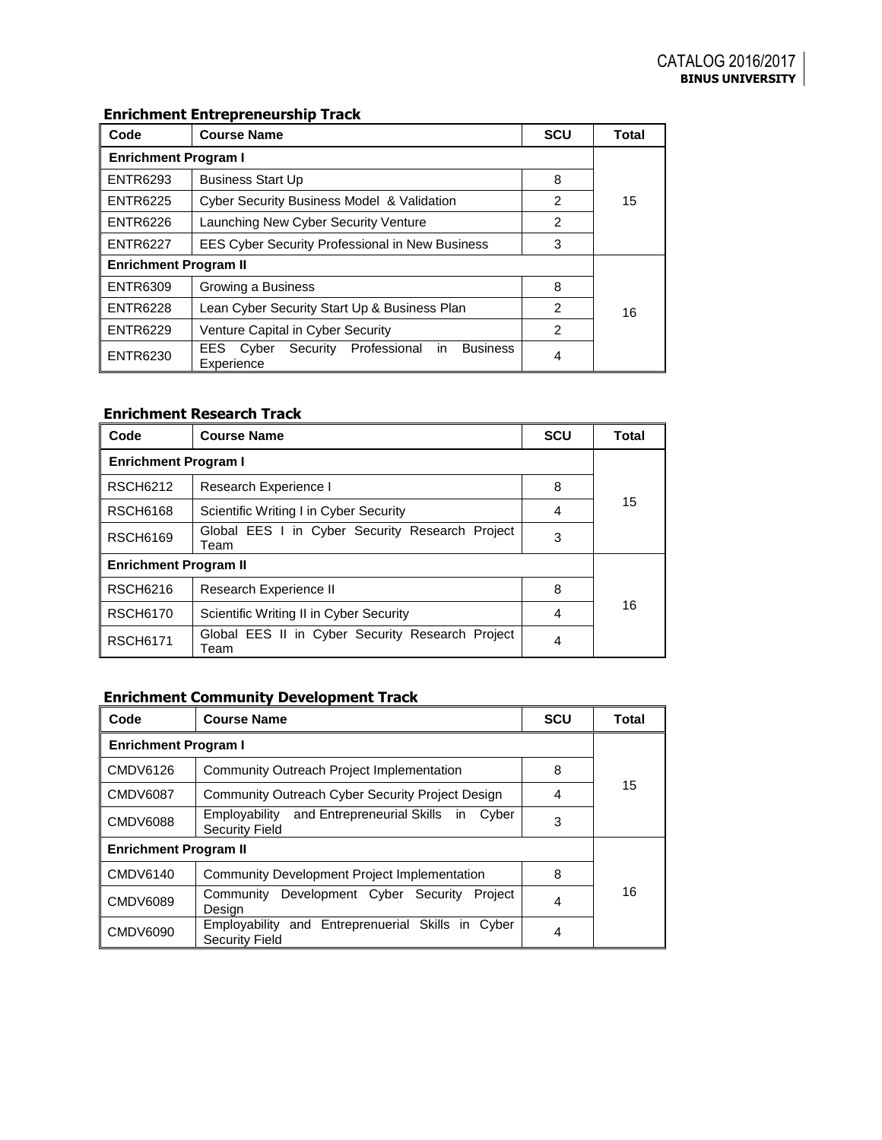# **Enrichment Entrepreneurship Track**

| Code                         | <b>Course Name</b>                                     | <b>SCU</b>     | <b>Total</b> |  |  |
|------------------------------|--------------------------------------------------------|----------------|--------------|--|--|
| <b>Enrichment Program I</b>  |                                                        |                |              |  |  |
| <b>ENTR6293</b>              | <b>Business Start Up</b>                               | 8              |              |  |  |
| <b>ENTR6225</b>              | Cyber Security Business Model & Validation             | $\mathfrak{p}$ | 15           |  |  |
| <b>ENTR6226</b>              | Launching New Cyber Security Venture                   | $\overline{c}$ |              |  |  |
| <b>ENTR6227</b>              | <b>EES Cyber Security Professional in New Business</b> | 3              |              |  |  |
| <b>Enrichment Program II</b> |                                                        |                |              |  |  |
| <b>ENTR6309</b>              | Growing a Business                                     | 8              |              |  |  |
| <b>ENTR6228</b>              | Lean Cyber Security Start Up & Business Plan           | 2              | 16           |  |  |
| <b>ENTR6229</b>              | Venture Capital in Cyber Security                      | 2              |              |  |  |
| <b>ENTR6230</b>              | 4                                                      |                |              |  |  |

# **Enrichment Research Track**

| Code                                     | <b>Course Name</b>                                       | <b>SCU</b> | <b>Total</b> |  |  |
|------------------------------------------|----------------------------------------------------------|------------|--------------|--|--|
| <b>Enrichment Program I</b>              |                                                          |            |              |  |  |
| <b>RSCH6212</b><br>Research Experience I |                                                          | 8          |              |  |  |
| <b>RSCH6168</b>                          | Scientific Writing I in Cyber Security                   | 4          | 15           |  |  |
| <b>RSCH6169</b>                          | Global EES I in Cyber Security Research Project<br>Team  | 3          |              |  |  |
| <b>Enrichment Program II</b>             |                                                          |            |              |  |  |
| <b>RSCH6216</b>                          | Research Experience II                                   | 8          |              |  |  |
| <b>RSCH6170</b>                          | Scientific Writing II in Cyber Security                  | 4          | 16           |  |  |
| <b>RSCH6171</b>                          | Global EES II in Cyber Security Research Project<br>Team | 4          |              |  |  |

# **Enrichment Community Development Track**

| Code                         | <b>Course Name</b>                                                            | <b>SCU</b> | Total |  |  |
|------------------------------|-------------------------------------------------------------------------------|------------|-------|--|--|
| <b>Enrichment Program I</b>  |                                                                               |            |       |  |  |
| <b>CMDV6126</b>              | Community Outreach Project Implementation                                     | 8          |       |  |  |
| <b>CMDV6087</b>              | Community Outreach Cyber Security Project Design                              | 4          | 15    |  |  |
| <b>CMDV6088</b>              | Employability and Entrepreneurial Skills in<br>Cyber<br><b>Security Field</b> | 3          |       |  |  |
| <b>Enrichment Program II</b> |                                                                               |            |       |  |  |
| CMDV6140                     | <b>Community Development Project Implementation</b>                           | 8          |       |  |  |
| <b>CMDV6089</b>              | Community Development Cyber Security<br>Project<br>Desian                     | 4          | 16    |  |  |
| CMDV6090                     | Employability and Entreprenuerial Skills in Cyber<br><b>Security Field</b>    | 4          |       |  |  |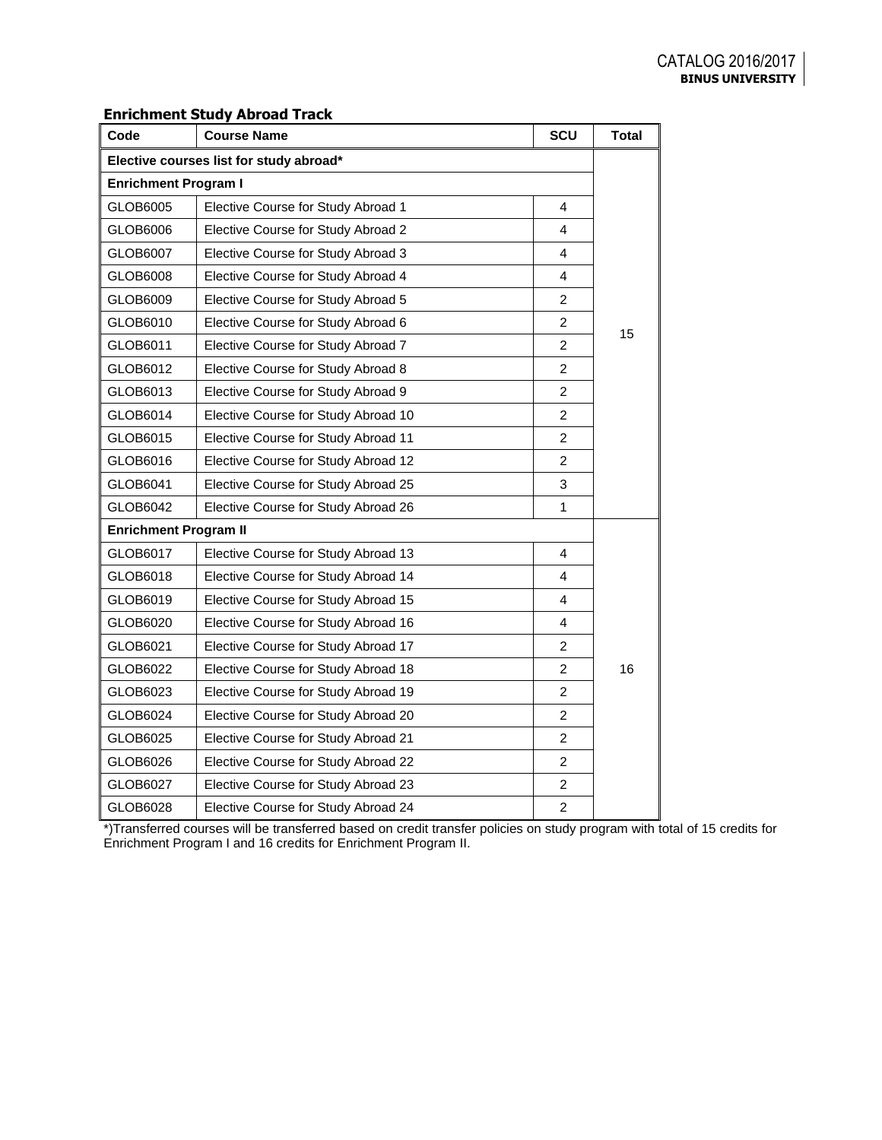# **Enrichment Study Abroad Track**

| Code                                    | <b>Course Name</b>                  | SCU                     | <b>Total</b> |  |
|-----------------------------------------|-------------------------------------|-------------------------|--------------|--|
| Elective courses list for study abroad* |                                     |                         |              |  |
| <b>Enrichment Program I</b>             |                                     |                         |              |  |
| GLOB6005                                | Elective Course for Study Abroad 1  | 4                       |              |  |
| GLOB6006                                | Elective Course for Study Abroad 2  | 4                       |              |  |
| GLOB6007                                | Elective Course for Study Abroad 3  | 4                       |              |  |
| GLOB6008                                | Elective Course for Study Abroad 4  | 4                       |              |  |
| GLOB6009                                | Elective Course for Study Abroad 5  | 2                       |              |  |
| GLOB6010                                | Elective Course for Study Abroad 6  | $\overline{2}$          |              |  |
| GLOB6011                                | Elective Course for Study Abroad 7  | $\overline{\mathbf{c}}$ | 15           |  |
| GLOB6012                                | Elective Course for Study Abroad 8  | $\overline{c}$          |              |  |
| GLOB6013                                | Elective Course for Study Abroad 9  | $\overline{c}$          |              |  |
| GLOB6014                                | Elective Course for Study Abroad 10 | $\overline{2}$          |              |  |
| GLOB6015                                | Elective Course for Study Abroad 11 | $\overline{2}$          |              |  |
| GLOB6016                                | Elective Course for Study Abroad 12 | $\overline{2}$          |              |  |
| GLOB6041                                | Elective Course for Study Abroad 25 | 3                       |              |  |
| GLOB6042                                | Elective Course for Study Abroad 26 | $\mathbf{1}$            |              |  |
| <b>Enrichment Program II</b>            |                                     |                         |              |  |
| GLOB6017                                | Elective Course for Study Abroad 13 | 4                       |              |  |
| GLOB6018                                | Elective Course for Study Abroad 14 | 4                       |              |  |
| GLOB6019                                | Elective Course for Study Abroad 15 | 4                       |              |  |
| GLOB6020                                | Elective Course for Study Abroad 16 | 4                       |              |  |
| GLOB6021                                | Elective Course for Study Abroad 17 | 2                       |              |  |
| GLOB6022                                | Elective Course for Study Abroad 18 | $\overline{2}$          | 16           |  |
| GLOB6023                                | Elective Course for Study Abroad 19 | $\overline{2}$          |              |  |
| GLOB6024                                | Elective Course for Study Abroad 20 | $\overline{2}$          |              |  |
| GLOB6025                                | Elective Course for Study Abroad 21 | $\overline{2}$          |              |  |
| GLOB6026                                | Elective Course for Study Abroad 22 | $\overline{c}$          |              |  |
| GLOB6027                                | Elective Course for Study Abroad 23 | 2                       |              |  |
| GLOB6028                                | Elective Course for Study Abroad 24 | $\overline{c}$          |              |  |

\*)Transferred courses will be transferred based on credit transfer policies on study program with total of 15 credits for Enrichment Program I and 16 credits for Enrichment Program II.